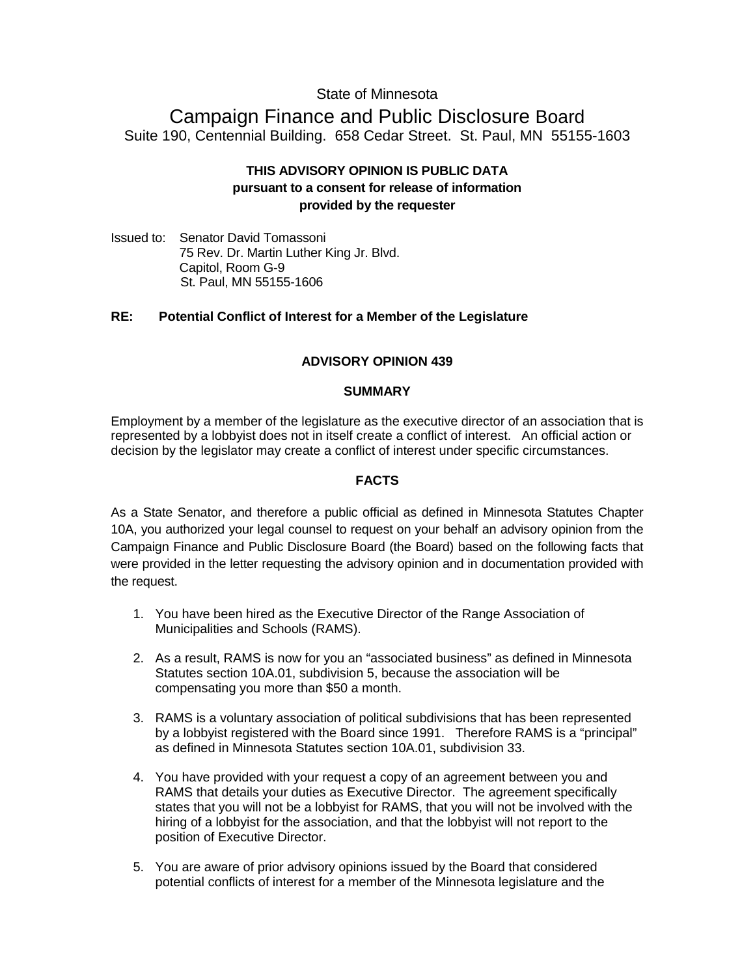# State of Minnesota

# Campaign Finance and Public Disclosure Board Suite 190, Centennial Building. 658 Cedar Street. St. Paul, MN 55155-1603

# **THIS ADVISORY OPINION IS PUBLIC DATA pursuant to a consent for release of information provided by the requester**

Issued to: Senator David Tomassoni 75 Rev. Dr. Martin Luther King Jr. Blvd. Capitol, Room G-9 St. Paul, MN 55155-1606

# **RE: Potential Conflict of Interest for a Member of the Legislature**

# **ADVISORY OPINION 439**

## **SUMMARY**

Employment by a member of the legislature as the executive director of an association that is represented by a lobbyist does not in itself create a conflict of interest. An official action or decision by the legislator may create a conflict of interest under specific circumstances.

# **FACTS**

As a State Senator, and therefore a public official as defined in Minnesota Statutes Chapter 10A, you authorized your legal counsel to request on your behalf an advisory opinion from the Campaign Finance and Public Disclosure Board (the Board) based on the following facts that were provided in the letter requesting the advisory opinion and in documentation provided with the request.

- 1. You have been hired as the Executive Director of the Range Association of Municipalities and Schools (RAMS).
- 2. As a result, RAMS is now for you an "associated business" as defined in Minnesota Statutes section 10A.01, subdivision 5, because the association will be compensating you more than \$50 a month.
- 3. RAMS is a voluntary association of political subdivisions that has been represented by a lobbyist registered with the Board since 1991. Therefore RAMS is a "principal" as defined in Minnesota Statutes section 10A.01, subdivision 33.
- 4. You have provided with your request a copy of an agreement between you and RAMS that details your duties as Executive Director. The agreement specifically states that you will not be a lobbyist for RAMS, that you will not be involved with the hiring of a lobbyist for the association, and that the lobbyist will not report to the position of Executive Director.
- 5. You are aware of prior advisory opinions issued by the Board that considered potential conflicts of interest for a member of the Minnesota legislature and the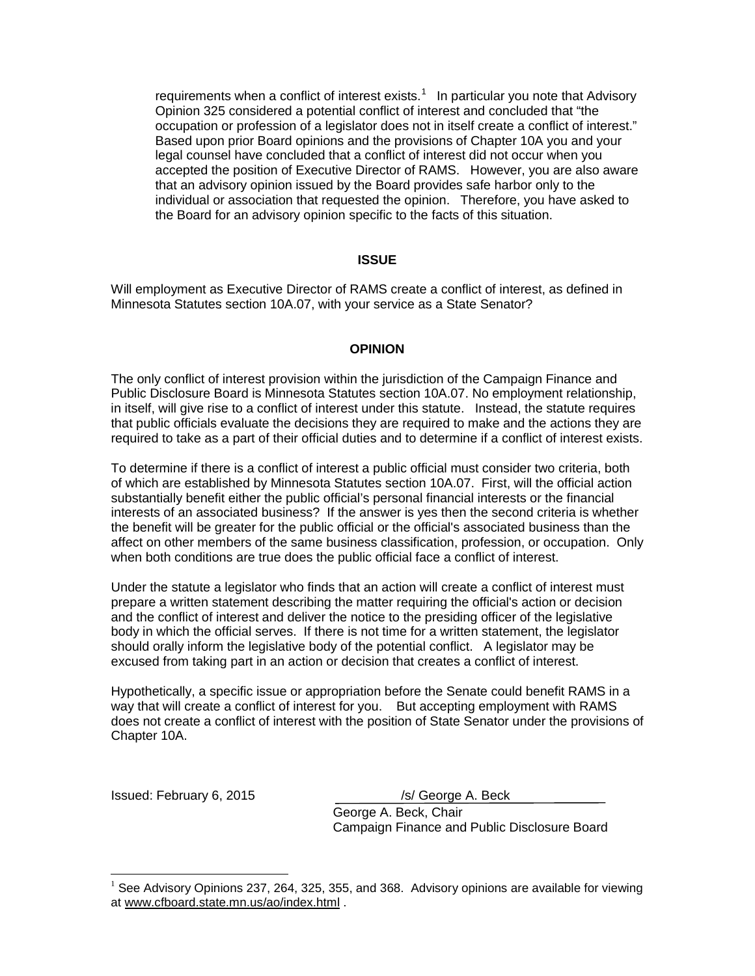requirements when a conflict of interest exists.<sup>[1](#page-1-0)</sup> In particular you note that Advisory Opinion 325 considered a potential conflict of interest and concluded that "the occupation or profession of a legislator does not in itself create a conflict of interest." Based upon prior Board opinions and the provisions of Chapter 10A you and your legal counsel have concluded that a conflict of interest did not occur when you accepted the position of Executive Director of RAMS. However, you are also aware that an advisory opinion issued by the Board provides safe harbor only to the individual or association that requested the opinion. Therefore, you have asked to the Board for an advisory opinion specific to the facts of this situation.

## **ISSUE**

Will employment as Executive Director of RAMS create a conflict of interest, as defined in Minnesota Statutes section 10A.07, with your service as a State Senator?

## **OPINION**

The only conflict of interest provision within the jurisdiction of the Campaign Finance and Public Disclosure Board is Minnesota Statutes section 10A.07. No employment relationship, in itself, will give rise to a conflict of interest under this statute. Instead, the statute requires that public officials evaluate the decisions they are required to make and the actions they are required to take as a part of their official duties and to determine if a conflict of interest exists.

To determine if there is a conflict of interest a public official must consider two criteria, both of which are established by Minnesota Statutes section 10A.07. First, will the official action substantially benefit either the public official's personal financial interests or the financial interests of an associated business? If the answer is yes then the second criteria is whether the benefit will be greater for the public official or the official's associated business than the affect on other members of the same business classification, profession, or occupation. Only when both conditions are true does the public official face a conflict of interest.

Under the statute a legislator who finds that an action will create a conflict of interest must prepare a written statement describing the matter requiring the official's action or decision and the conflict of interest and deliver the notice to the presiding officer of the legislative body in which the official serves. If there is not time for a written statement, the legislator should orally inform the legislative body of the potential conflict. A legislator may be excused from taking part in an action or decision that creates a conflict of interest.

Hypothetically, a specific issue or appropriation before the Senate could benefit RAMS in a way that will create a conflict of interest for you. But accepting employment with RAMS does not create a conflict of interest with the position of State Senator under the provisions of Chapter 10A.

Issued: February 6, 2015 /s/ George A. Beck

 $\overline{a}$ 

George A. Beck, Chair Campaign Finance and Public Disclosure Board

<span id="page-1-0"></span> $<sup>1</sup>$  See Advisory Opinions 237, 264, 325, 355, and 368. Advisory opinions are available for viewing</sup> at [www.cfboard.state.mn.us/ao/index.html](http://www.cfboard.state.mn.us/ao/index.html) .